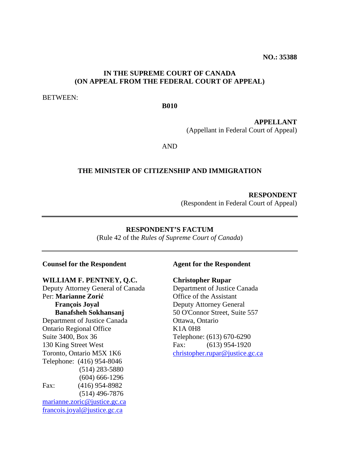**NO.: 35388** 

# **IN THE SUPREME COURT OF CANADA (ON APPEAL FROM THE FEDERAL COURT OF APPEAL)**

BETWEEN:

#### **B010**

**APPELLANT**  (Appellant in Federal Court of Appeal)

AND

#### **THE MINISTER OF CITIZENSHIP AND IMMIGRATION**

#### **RESPONDENT**

(Respondent in Federal Court of Appeal)

#### **RESPONDENT'S FACTUM**

(Rule 42 of the *Rules of Supreme Court of Canada*)

#### **Counsel for the Respondent**

#### **WILLIAM F. PENTNEY, Q.C.**

Deputy Attorney General of Canada Per: **Marianne Zorić François Joyal Banafsheh Sokhansanj**  Department of Justice Canada Ontario Regional Office Suite 3400, Box 36 130 King Street West Toronto, Ontario M5X 1K6 Telephone: (416) 954-8046 (514) 283-5880 (604) 666-1296 Fax: (416) 954-8982 (514) 496-7876 marianne.zoric@justice.gc.ca francois.joyal@justice.gc.ca

#### **Agent for the Respondent**

#### **Christopher Rupar**

Department of Justice Canada Office of the Assistant Deputy Attorney General 50 O'Connor Street, Suite 557 Ottawa, Ontario K1A 0H8 Telephone: (613) 670-6290 Fax: (613) 954-1920 christopher.rupar@justice.gc.ca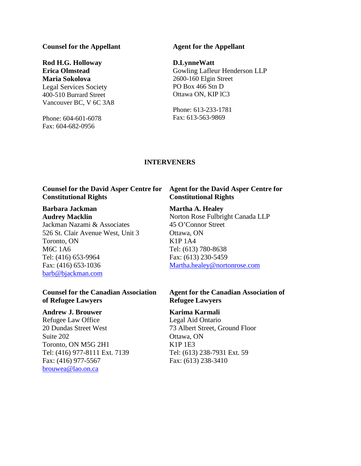#### **Counsel for the Appellant**

# **Rod H.G. Holloway Erica Olmstead Maria Sokolova**  Legal Services Society

400-510 Burrard Street Vancouver BC, V 6C 3A8

Phone: 604-601-6078 Fax: 604-682-0956

## **Agent for the Appellant**

#### **D.LynneWatt**

Gowling Lafleur Henderson LLP 2600-160 Elgin Street PO Box 466 Stn D Ottawa ON, KIP lC3

Phone: 613-233-1781 Fax: 613-563-9869

# **INTERVENERS**

# **Counsel for the David Asper Centre for Constitutional Rights**

#### **Barbara Jackman Audrey Macklin**

Jackman Nazami & Associates 526 St. Clair Avenue West, Unit 3 Toronto, ON M6C 1A6 Tel: (416) 653-9964 Fax: (416) 653-1036 barb@bjackman.com

# **Counsel for the Canadian Association of Refugee Lawyers**

#### **Andrew J. Brouwer**

Refugee Law Office 20 Dundas Street West Suite 202 Toronto, ON M5G 2H1 Tel: (416) 977-8111 Ext. 7139 Fax: (416) 977-5567 brouwea@lao.on.ca

# **Agent for the David Asper Centre for Constitutional Rights**

# **Martha A. Healey**

Norton Rose Fulbright Canada LLP 45 O'Connor Street Ottawa, ON K1P 1A4 Tel: (613) 780-8638 Fax: (613) 230-5459 Martha.healey@nortonrose.com

# **Agent for the Canadian Association of Refugee Lawyers**

# **Karima Karmali**

Legal Aid Ontario 73 Albert Street, Ground Floor Ottawa, ON K1P 1E3 Tel: (613) 238-7931 Ext. 59 Fax: (613) 238-3410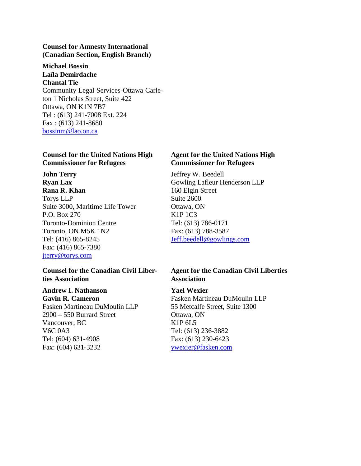# **Counsel for Amnesty International (Canadian Section, English Branch)**

**Michael Bossin Laïla Demirdache Chantal Tie**  Community Legal Services-Ottawa Carleton 1 Nicholas Street, Suite 422 Ottawa, ON K1N 7B7 Tel : (613) 241-7008 Ext. 224 Fax : (613) 241-8680 bossinm@lao.on.ca

# **Counsel for the United Nations High Commissioner for Refugees**

**John Terry Ryan Lax Rana R. Khan**  Torys LLP Suite 3000, Maritime Life Tower P.O. Box 270 Toronto-Dominion Centre Toronto, ON M5K 1N2 Tel: (416) 865-8245 Fax: (416) 865-7380 jterry@torys.com

## **Counsel for the Canadian Civil Liberties Association**

**Andrew I. Nathanson Gavin R. Cameron**  Fasken Martineau DuMoulin LLP 2900 – 550 Burrard Street Vancouver, BC V6C 0A3 Tel: (604) 631-4908 Fax: (604) 631-3232

# **Agent for the United Nations High Commissioner for Refugees**

Jeffrey W. Beedell Gowling Lafleur Henderson LLP 160 Elgin Street Suite 2600 Ottawa, ON K1P 1C3 Tel: (613) 786-0171 Fax: (613) 788-3587 Jeff.beedell@gowlings.com

# **Agent for the Canadian Civil Liberties Association**

# **Yael Wexier**

Fasken Martineau DuMoulin LLP 55 Metcalfe Street, Suite 1300 Ottawa, ON K1P 6L5 Tel: (613) 236-3882 Fax: (613) 230-6423 ywexier@fasken.com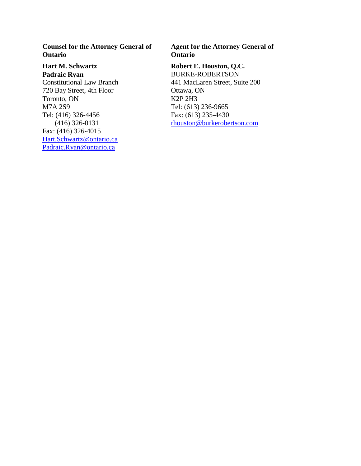**Counsel for the Attorney General of Ontario** 

**Hart M. Schwartz Padraic Ryan**  Constitutional Law Branch 720 Bay Street, 4th Floor Toronto, ON M7A 2S9 Tel: (416) 326-4456 (416) 326-0131 Fax: (416) 326-4015 Hart.Schwartz@ontario.ca Padraic.Ryan@ontario.ca

# **Agent for the Attorney General of Ontario**

**Robert E. Houston, Q.C.**  BURKE-ROBERTSON 441 MacLaren Street, Suite 200 Ottawa, ON K2P 2H3 Tel: (613) 236-9665 Fax: (613) 235-4430 rhouston@burkerobertson.com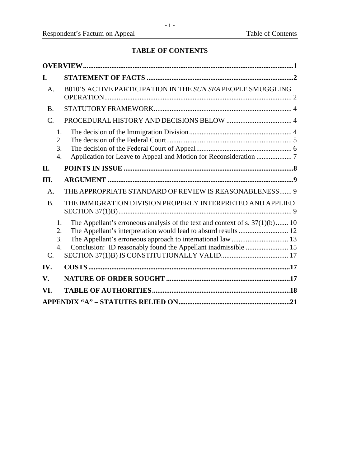# **TABLE OF CONTENTS**

| I.              |                                    |                                                                                                                                                  |  |
|-----------------|------------------------------------|--------------------------------------------------------------------------------------------------------------------------------------------------|--|
| A.              |                                    | B010'S ACTIVE PARTICIPATION IN THE SUN SEA PEOPLE SMUGGLING                                                                                      |  |
| <b>B.</b>       |                                    |                                                                                                                                                  |  |
| $\mathcal{C}$ . |                                    |                                                                                                                                                  |  |
|                 | 1.<br>2.<br>3.<br>4.               |                                                                                                                                                  |  |
| II.             |                                    |                                                                                                                                                  |  |
| III.            |                                    |                                                                                                                                                  |  |
| A.              |                                    | THE APPROPRIATE STANDARD OF REVIEW IS REASONABLENESS 9                                                                                           |  |
| <b>B.</b>       |                                    | THE IMMIGRATION DIVISION PROPERLY INTERPRETED AND APPLIED                                                                                        |  |
| $\mathcal{C}$ . | 1.<br>2.<br>3.<br>$\overline{4}$ . | The Appellant's erroneous analysis of the text and context of s. $37(1)(b)$ 10<br>Conclusion: ID reasonably found the Appellant inadmissible  15 |  |
| IV.             |                                    |                                                                                                                                                  |  |
| V.              |                                    |                                                                                                                                                  |  |
| VI.             |                                    |                                                                                                                                                  |  |
|                 |                                    |                                                                                                                                                  |  |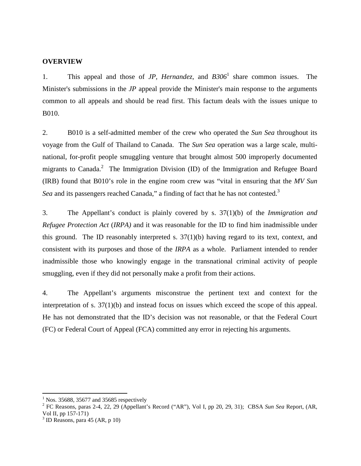# <span id="page-5-0"></span>**OVERVIEW**

1. This appeal and those of *JP*, *Hernandez*, and  $B306<sup>1</sup>$  share common issues. The Minister's submissions in the *JP* appeal provide the Minister's main response to the arguments common to all appeals and should be read first. This factum deals with the issues unique to B010.

2. B010 is a self-admitted member of the crew who operated the *Sun Sea* throughout its voyage from the Gulf of Thailand to Canada. The *Sun Sea* operation was a large scale, multinational, for-profit people smuggling venture that brought almost 500 improperly documented migrants to Canada.<sup>2</sup> The Immigration Division (ID) of the Immigration and Refugee Board (IRB) found that B010's role in the engine room crew was "vital in ensuring that the *MV Sun*  Sea and its passengers reached Canada," a finding of fact that he has not contested.<sup>3</sup>

3. The Appellant's conduct is plainly covered by s. 37(1)(b) of the *Immigration and Refugee Protection Act* (*IRPA)* and it was reasonable for the ID to find him inadmissible under this ground. The ID reasonably interpreted s. 37(1)(b) having regard to its text, context, and consistent with its purposes and those of the *IRPA* as a whole. Parliament intended to render inadmissible those who knowingly engage in the transnational criminal activity of people smuggling, even if they did not personally make a profit from their actions.

4. The Appellant's arguments misconstrue the pertinent text and context for the interpretation of s. 37(1)(b) and instead focus on issues which exceed the scope of this appeal. He has not demonstrated that the ID's decision was not reasonable, or that the Federal Court (FC) or Federal Court of Appeal (FCA) committed any error in rejecting his arguments.

<sup>&</sup>lt;sup>1</sup> Nos. 35688, 35677 and 35685 respectively

<sup>2</sup> FC Reasons, paras 2-4, 22, 29 (Appellant's Record ("AR"), Vol I, pp 20, 29, 31); CBSA *Sun Sea* Report, (AR, Vol II, pp 157-171)

<sup>3</sup> ID Reasons, para 45 (AR, p 10)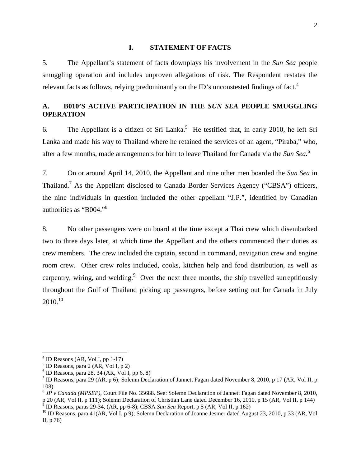#### **I. STATEMENT OF FACTS**

<span id="page-6-0"></span>5. The Appellant's statement of facts downplays his involvement in the *Sun Sea* people smuggling operation and includes unproven allegations of risk. The Respondent restates the relevant facts as follows, relying predominantly on the ID's unconstested findings of fact.<sup>4</sup>

# **A. B010'S ACTIVE PARTICIPATION IN THE** *SUN SEA* **PEOPLE SMUGGLING OPERATION**

6. The Appellant is a citizen of Sri Lanka.<sup>5</sup> He testified that, in early 2010, he left Sri Lanka and made his way to Thailand where he retained the services of an agent, "Piraba," who, after a few months, made arrangements for him to leave Thailand for Canada via the *Sun Sea*.<sup>6</sup>

7. On or around April 14, 2010, the Appellant and nine other men boarded the *Sun Sea* in Thailand.<sup>7</sup> As the Appellant disclosed to Canada Border Services Agency ("CBSA") officers, the nine individuals in question included the other appellant "J.P.", identified by Canadian authorities as "B004."<sup>8</sup>

8. No other passengers were on board at the time except a Thai crew which disembarked two to three days later, at which time the Appellant and the others commenced their duties as crew members. The crew included the captain, second in command, navigation crew and engine room crew. Other crew roles included, cooks, kitchen help and food distribution, as well as carpentry, wiring, and welding.  $9$  Over the next three months, the ship travelled surreptitiously throughout the Gulf of Thailand picking up passengers, before setting out for Canada in July  $2010^{10}$ 

<sup>&</sup>lt;sup>4</sup> ID Reasons (AR, Vol I, pp 1-17)

<sup>5</sup> ID Reasons, para 2 (AR, Vol I, p 2)

 $6$  ID Reasons, para 28, 34 (AR, Vol I, pp 6, 8)

<sup>&</sup>lt;sup>7</sup> ID Reasons, para 29 (AR, p 6); Solemn Declaration of Jannett Fagan dated November 8, 2010, p 17 (AR, Vol II, p 108)

<sup>8</sup> *JP v Canada (MPSEP),* Court File No. 35688. See: Solemn Declaration of Jannett Fagan dated November 8, 2010, p 20 (AR, Vol II, p 111); Solemn Declaration of Christian Lane dated December 16, 2010, p 15 (AR, Vol II, p 144)  $\frac{9}{2}$  ID Bessons, parse 20, 24. (AB, pp 6.8); CBSA, Sun, Seg Benert, p.5 (AB, Vol II, p.162). ID Reasons, paras 29-34, (AR, pp 6-8); CBSA *Sun Sea* Report, p 5 (AR, Vol II, p 162)

<sup>&</sup>lt;sup>10</sup> ID Reasons, para 41(AR, Vol I, p 9); Solemn Declaration of Joanne Jesmer dated August 23, 2010, p 33 (AR, Vol II, p 76)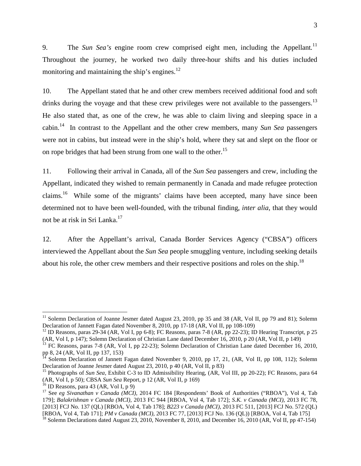9. The *Sun Sea's* engine room crew comprised eight men, including the Appellant*.* 11 Throughout the journey, he worked two daily three-hour shifts and his duties included monitoring and maintaining the ship's engines. $^{12}$ 

10. The Appellant stated that he and other crew members received additional food and soft drinks during the voyage and that these crew privileges were not available to the passengers.<sup>13</sup> He also stated that, as one of the crew, he was able to claim living and sleeping space in a cabin.<sup>14</sup> In contrast to the Appellant and the other crew members, many *Sun Sea* passengers were not in cabins, but instead were in the ship's hold, where they sat and slept on the floor or on rope bridges that had been strung from one wall to the other.<sup>15</sup>

11. Following their arrival in Canada, all of the *Sun Sea* passengers and crew, including the Appellant, indicated they wished to remain permanently in Canada and made refugee protection claims.<sup>16</sup> While some of the migrants' claims have been accepted, many have since been determined not to have been well-founded, with the tribunal finding, *inter alia*, that they would not be at risk in Sri Lanka.<sup>17</sup>

12. After the Appellant's arrival, Canada Border Services Agency ("CBSA") officers interviewed the Appellant about the *Sun Sea* people smuggling venture, including seeking details about his role, the other crew members and their respective positions and roles on the ship.<sup>18</sup>

<sup>&</sup>lt;sup>11</sup> Solemn Declaration of Joanne Jesmer dated August 23, 2010, pp 35 and 38 (AR, Vol II, pp 79 and 81); Solemn Declaration of Jannett Fagan dated November 8, 2010, pp 17-18 (AR, Vol II, pp 108-109)

<sup>&</sup>lt;sup>12</sup> ID Reasons, paras 29-34 (AR, Vol I, pp 6-8); FC Reasons, paras 7-8 (AR, pp 22-23); ID Hearing Transcript, p 25 (AR, Vol I, p 147); Solemn Declaration of Christian Lane dated December 16, 2010, p 20 (AR, Vol II, p 149)

<sup>&</sup>lt;sup>13</sup> FC Reasons, paras 7-8 (AR, Vol I, pp 22-23); Solemn Declaration of Christian Lane dated December 16, 2010, pp 8, 24 (AR, Vol II, pp 137, 153)

<sup>&</sup>lt;sup>14</sup> Solemn Declaration of Jannett Fagan dated November 9, 2010, pp 17, 21, (AR, Vol II, pp 108, 112); Solemn Declaration of Joanne Jesmer dated August 23, 2010, p 40 (AR, Vol II, p 83)

<sup>&</sup>lt;sup>15</sup> Photographs of *Sun Sea*, Exhibit C-3 to ID Admissibility Hearing, (AR, Vol III, pp 20-22); FC Reasons, para 64 (AR, Vol I, p 50); CBSA *Sun Sea* Report, p 12 (AR, Vol II, p 169)

 $16$  ID Reasons, para 43 (AR, Vol I, p 9)

<sup>&</sup>lt;sup>17</sup> See eg Sivanathan v Canada (MCI), 2014 FC 184 [Respondents' Book of Authorities ("RBOA"), Vol 4, Tab 179]; *Balakrishnan v Canada (MCI),* 2013 FC 944 [RBOA, Vol 4, Tab 172]; *S.K. v Canada (MCI),* 2013 FC 78, [2013] FCJ No. 137 (QL) [RBOA, Vol 4, Tab 178]; *B223 v Canada (MCI),* 2013 FC 511, [2013] FCJ No. 572 (QL) [RBOA, Vol 4, Tab 171]; *PM v Canada (MCI),* 2013 FC 77, [2013] FCJ No. 136 (QL)) [RBOA, Vol 4, Tab 175]

<sup>&</sup>lt;sup>18</sup> Solemn Declarations dated August 23, 2010, November 8, 2010, and December 16, 2010 (AR, Vol II, pp 47-154)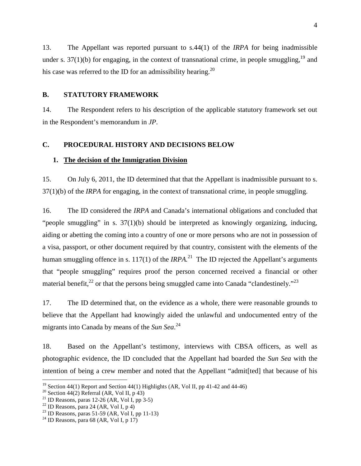<span id="page-8-0"></span>13. The Appellant was reported pursuant to s.44(1) of the *IRPA* for being inadmissible under s.  $37(1)(b)$  for engaging, in the context of transnational crime, in people smuggling,<sup>19</sup> and his case was referred to the ID for an admissibility hearing.<sup>20</sup>

# **B. STATUTORY FRAMEWORK**

14. The Respondent refers to his description of the applicable statutory framework set out in the Respondent's memorandum in *JP*.

#### **C. PROCEDURAL HISTORY AND DECISIONS BELOW**

#### **1. The decision of the Immigration Division**

15. On July 6, 2011, the ID determined that that the Appellant is inadmissible pursuant to s. 37(1)(b) of the *IRPA* for engaging, in the context of transnational crime, in people smuggling.

16. The ID considered the *IRPA* and Canada's international obligations and concluded that "people smuggling" in s. 37(1)(b) should be interpreted as knowingly organizing, inducing, aiding or abetting the coming into a country of one or more persons who are not in possession of a visa, passport, or other document required by that country, consistent with the elements of the human smuggling offence in s.  $117(1)$  of the *IRPA*.<sup>21</sup> The ID rejected the Appellant's arguments that "people smuggling" requires proof the person concerned received a financial or other material benefit,<sup>22</sup> or that the persons being smuggled came into Canada "clandestinely."<sup>23</sup>

17. The ID determined that, on the evidence as a whole, there were reasonable grounds to believe that the Appellant had knowingly aided the unlawful and undocumented entry of the migrants into Canada by means of the *Sun Sea*. 24

18. Based on the Appellant's testimony, interviews with CBSA officers, as well as photographic evidence, the ID concluded that the Appellant had boarded the *Sun Sea* with the intention of being a crew member and noted that the Appellant "admit[ted] that because of his

<sup>&</sup>lt;sup>19</sup> Section 44(1) Report and Section 44(1) Highlights (AR, Vol II, pp 41-42 and 44-46)

<sup>&</sup>lt;sup>20</sup> Section 44(2) Referral (AR, Vol II, p 43)

<sup>&</sup>lt;sup>21</sup> ID Reasons, paras 12-26 (AR, Vol I, pp 3-5)

 $22$  ID Reasons, para 24 (AR, Vol I, p 4)

<sup>&</sup>lt;sup>23</sup> ID Reasons, paras 51-59 (AR, Vol I, pp 11-13)

 $24$  ID Reasons, para 68 (AR, Vol I, p 17)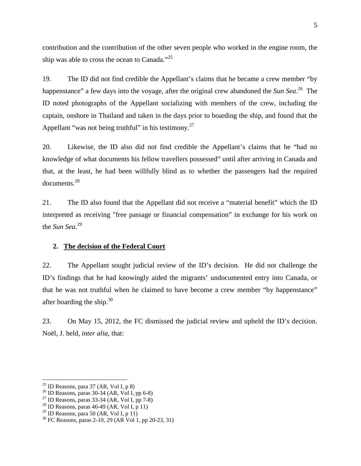<span id="page-9-0"></span>contribution and the contribution of the other seven people who worked in the engine room, the ship was able to cross the ocean to Canada."<sup>25</sup> 

19. The ID did not find credible the Appellant's claims that he became a crew member "by happenstance" a few days into the voyage, after the original crew abandoned the *Sun Sea*. <sup>26</sup> The ID noted photographs of the Appellant socializing with members of the crew, including the captain, onshore in Thailand and taken in the days prior to boarding the ship, and found that the Appellant "was not being truthful" in his testimony.<sup>27</sup>

20. Likewise, the ID also did not find credible the Appellant's claims that he "had no knowledge of what documents his fellow travellers possessed" until after arriving in Canada and that, at the least, he had been willfully blind as to whether the passengers had the required documents.<sup>28</sup>

21. The ID also found that the Appellant did not receive a "material benefit" which the ID interpreted as receiving "free passage or financial compensation" in exchange for his work on the *Sun Sea*. 29

# **2. The decision of the Federal Court**

22. The Appellant sought judicial review of the ID's decision. He did not challenge the ID's findings that he had knowingly aided the migrants' undocumented entry into Canada, or that he was not truthful when he claimed to have become a crew member "by happenstance" after boarding the ship. $30$ 

23. On May 15, 2012, the FC dismissed the judicial review and upheld the ID's decision. Noël, J. held, *inter alia,* that:

 $^{25}$  ID Reasons, para 37 (AR, Vol I, p 8)

 $^{26}$  ID Reasons, paras 30-34 (AR, Vol I, pp 6-8)

 $^{27}$  ID Reasons, paras 33-34 (AR, Vol I, pp 7-8)

<sup>&</sup>lt;sup>28</sup> ID Reasons, paras  $46-49$  (AR, Vol I, p 11)

<sup>&</sup>lt;sup>29</sup> ID Reasons, para 50 (AR, Vol I, p 11)

<sup>30</sup> FC Reasons, paras 2-10, 29 (AR Vol 1, pp 20-23, 31)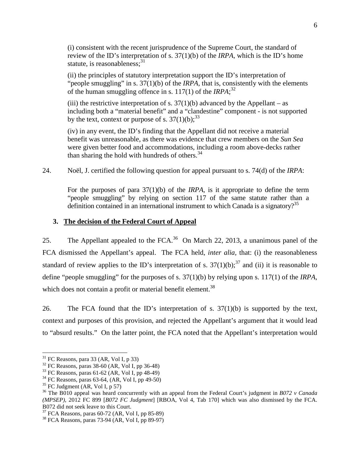<span id="page-10-0"></span>(i) consistent with the recent jurisprudence of the Supreme Court, the standard of review of the ID's interpretation of s. 37(1)(b) of the *IRPA,* which is the ID's home statute, is reasonableness; $31$ 

(ii) the principles of statutory interpretation support the ID's interpretation of "people smuggling" in s. 37(1)(b) of the *IRPA*, that is, consistently with the elements of the human smuggling offence in s. 117(1) of the *IRPA*;<sup>32</sup>

(iii) the restrictive interpretation of s.  $37(1)(b)$  advanced by the Appellant – as including both a "material benefit" and a "clandestine" component - is not supported by the text, context or purpose of s.  $37(1)(b)$ ;<sup>33</sup>

(iv) in any event, the ID's finding that the Appellant did not receive a material benefit was unreasonable, as there was evidence that crew members on the *Sun Sea*  were given better food and accommodations, including a room above-decks rather than sharing the hold with hundreds of others.<sup>34</sup>

24. Noël, J. certified the following question for appeal pursuant to s. 74(d) of the *IRPA*:

For the purposes of para 37(1)(b) of the *IRPA*, is it appropriate to define the term "people smuggling" by relying on section 117 of the same statute rather than a definition contained in an international instrument to which Canada is a signatory?<sup>35</sup>

# **3. The decision of the Federal Court of Appeal**

25. The Appellant appealed to the FCA.<sup>36</sup> On March 22, 2013, a unanimous panel of the FCA dismissed the Appellant's appeal. The FCA held, *inter alia,* that: (i) the reasonableness standard of review applies to the ID's interpretation of s.  $37(1)(b)$ ;<sup>37</sup> and (ii) it is reasonable to define "people smuggling" for the purposes of s. 37(1)(b) by relying upon s. 117(1) of the *IRPA*, which does not contain a profit or material benefit element.<sup>38</sup>

26. The FCA found that the ID's interpretation of s.  $37(1)(b)$  is supported by the text, context and purposes of this provision, and rejected the Appellant's argument that it would lead to "absurd results." On the latter point, the FCA noted that the Appellant's interpretation would

 $31$  FC Reasons, para 33 (AR, Vol I, p 33)

 $32$  FC Reasons, paras 38-60 (AR, Vol I, pp 36-48)

 $33$  FC Reasons, paras 61-62 (AR, Vol I, pp 48-49)

 $34$  FC Reasons, paras 63-64, (AR, Vol I, pp 49-50)

 $35$  FC Judgment (AR, Vol I, p 57)

<sup>36</sup> The B010 appeal was heard concurrently with an appeal from the Federal Court's judgment in *B072 v Canada (MPSEP),* 2012 FC 899 [*B072 FC Judgment*] [RBOA, Vol 4, Tab 170] which was also dismissed by the FCA. B072 did not seek leave to this Court.

 $37$  FCA Reasons, paras 60-72 (AR, Vol I, pp 85-89)

<sup>38</sup> FCA Reasons, paras 73-94 (AR, Vol I, pp 89-97)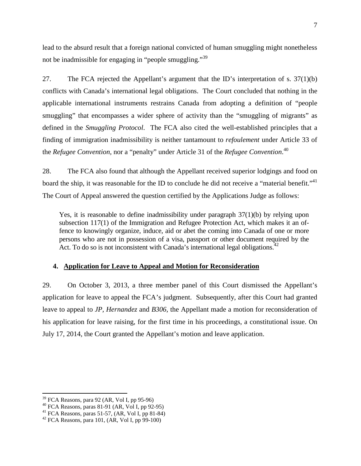<span id="page-11-0"></span>lead to the absurd result that a foreign national convicted of human smuggling might nonetheless not be inadmissible for engaging in "people smuggling."<sup>39</sup>

27. The FCA rejected the Appellant's argument that the ID's interpretation of s. 37(1)(b) conflicts with Canada's international legal obligations. The Court concluded that nothing in the applicable international instruments restrains Canada from adopting a definition of "people smuggling" that encompasses a wider sphere of activity than the "smuggling of migrants" as defined in the *Smuggling Protocol*. The FCA also cited the well-established principles that a finding of immigration inadmissibility is neither tantamount to *refoulement* under Article 33 of the *Refugee Convention,* nor a "penalty" under Article 31 of the *Refugee Convention*. 40

28. The FCA also found that although the Appellant received superior lodgings and food on board the ship, it was reasonable for the ID to conclude he did not receive a "material benefit."<sup>41</sup> The Court of Appeal answered the question certified by the Applications Judge as follows:

Yes, it is reasonable to define inadmissibility under paragraph 37(1)(b) by relying upon subsection 117(1) of the Immigration and Refugee Protection Act, which makes it an offence to knowingly organize, induce, aid or abet the coming into Canada of one or more persons who are not in possession of a visa, passport or other document required by the Act. To do so is not inconsistent with Canada's international legal obligations.<sup>42</sup>

## **4. Application for Leave to Appeal and Motion for Reconsideration**

29. On October 3, 2013, a three member panel of this Court dismissed the Appellant's application for leave to appeal the FCA's judgment. Subsequently, after this Court had granted leave to appeal to *JP, Hernandez* and *B306,* the Appellant made a motion for reconsideration of his application for leave raising, for the first time in his proceedings, a constitutional issue. On July 17, 2014, the Court granted the Appellant's motion and leave application.

 $39$  FCA Reasons, para 92 (AR, Vol I, pp 95-96)

 $40$  FCA Reasons, paras 81-91 (AR, Vol I, pp 92-95)

<sup>&</sup>lt;sup>41</sup> FCA Reasons, paras 51-57,  $(AR, Vol I, pp 81-84)$ 

 $42$  FCA Reasons, para 101, (AR, Vol I, pp 99-100)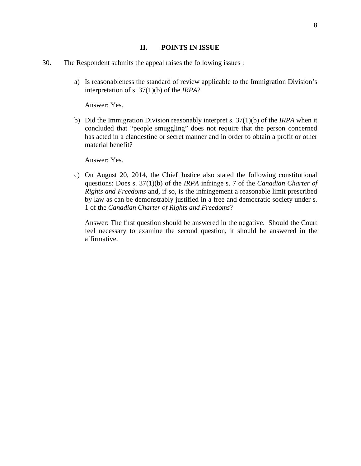#### **II. POINTS IN ISSUE**

- <span id="page-12-0"></span>30. The Respondent submits the appeal raises the following issues :
	- a) Is reasonableness the standard of review applicable to the Immigration Division's interpretation of s. 37(1)(b) of the *IRPA*?

Answer: Yes.

b) Did the Immigration Division reasonably interpret s. 37(1)(b) of the *IRPA* when it concluded that "people smuggling" does not require that the person concerned has acted in a clandestine or secret manner and in order to obtain a profit or other material benefit?

Answer: Yes.

c) On August 20, 2014, the Chief Justice also stated the following constitutional questions: Does s. 37(1)(b) of the *IRPA* infringe s. 7 of the *Canadian Charter of Rights and Freedoms* and, if so, is the infringement a reasonable limit prescribed by law as can be demonstrably justified in a free and democratic society under s. 1 of the *Canadian Charter of Rights and Freedoms*?

Answer: The first question should be answered in the negative. Should the Court feel necessary to examine the second question, it should be answered in the affirmative.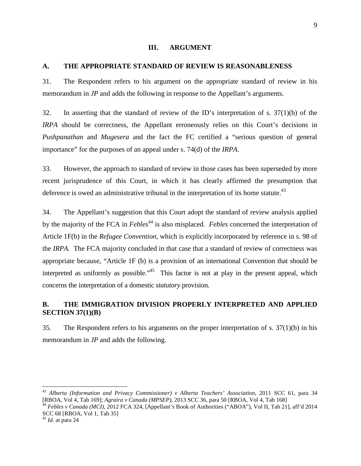## **III. ARGUMENT**

# <span id="page-13-0"></span>**A. THE APPROPRIATE STANDARD OF REVIEW IS REASONABLENESS**

31. The Respondent refers to his argument on the appropriate standard of review in his memorandum in *JP* and adds the following in response to the Appellant's arguments.

32. In asserting that the standard of review of the ID's interpretation of s. 37(1)(b) of the *IRPA* should be correctness, the Appellant erroneously relies on this Court's decisions in *Pushpanathan* and *Mugesera* and the fact the FC certified a "serious question of general importance" for the purposes of an appeal under s. 74(d) of the *IRPA*.

33. However, the approach to standard of review in those cases has been superseded by more recent jurisprudence of this Court, in which it has clearly affirmed the presumption that deference is owed an administrative tribunal in the interpretation of its home statute.<sup>43</sup>

34. The Appellant's suggestion that this Court adopt the standard of review analysis applied by the majority of the FCA in *Febles*<sup>44</sup> is also misplaced. *Febles* concerned the interpretation of Article 1F(b) in the *Refugee Convention*, which is explicitly incorporated by reference in s. 98 of the *IRPA.* The FCA majority concluded in that case that a standard of review of correctness was appropriate because, "Article 1F (b) is a provision of an international Convention that should be interpreted as uniformly as possible."<sup> $45$ </sup> This factor is not at play in the present appeal, which concerns the interpretation of a domestic *statutory* provision.

# **B. THE IMMIGRATION DIVISION PROPERLY INTERPRETED AND APPLIED SECTION 37(1)(B)**

35. The Respondent refers to his arguments on the proper interpretation of s. 37(1)(b) in his memorandum in *JP* and adds the following.

<sup>43</sup> *Alberta (Information and Privacy Commissioner) v Alberta Teachers' Association*, 2011 SCC 61, para 34 [RBOA, Vol 4, Tab 169]; *Agraira v Canada (MPSEP),* 2013 SCC 36, para 50 [RBOA, Vol 4, Tab 168]

<sup>44</sup> *Febles v Canada (MCI),* 2012 FCA 324, [Appellant's Book of Authorities ("ABOA"), Vol II, Tab 21], aff'd 2014 SCC 68 [RBOA, Vol 1, Tab 35]

<sup>45</sup> *Id.* at para 24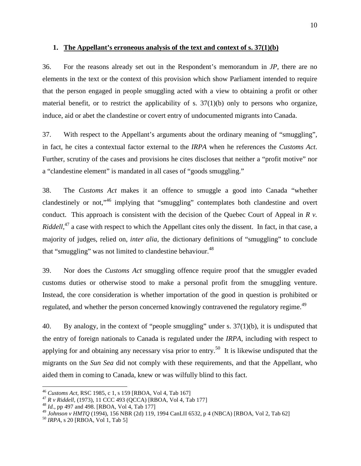## <span id="page-14-0"></span>**1. The Appellant's erroneous analysis of the text and context of s. 37(1)(b)**

36. For the reasons already set out in the Respondent's memorandum in *JP*, there are no elements in the text or the context of this provision which show Parliament intended to require that the person engaged in people smuggling acted with a view to obtaining a profit or other material benefit, or to restrict the applicability of s. 37(1)(b) only to persons who organize, induce, aid or abet the clandestine or covert entry of undocumented migrants into Canada.

37. With respect to the Appellant's arguments about the ordinary meaning of "smuggling", in fact, he cites a contextual factor external to the *IRPA* when he references the *Customs Act*. Further, scrutiny of the cases and provisions he cites discloses that neither a "profit motive" nor a "clandestine element" is mandated in all cases of "goods smuggling."

38. The *Customs Act* makes it an offence to smuggle a good into Canada "whether clandestinely or not,"<sup>46</sup> implying that "smuggling" contemplates both clandestine and overt conduct. This approach is consistent with the decision of the Quebec Court of Appeal in *R v. Riddell*,<sup>47</sup> a case with respect to which the Appellant cites only the dissent. In fact, in that case, a majority of judges, relied on, *inter alia,* the dictionary definitions of "smuggling" to conclude that "smuggling" was not limited to clandestine behaviour.<sup>48</sup>

39. Nor does the *Customs Act* smuggling offence require proof that the smuggler evaded customs duties or otherwise stood to make a personal profit from the smuggling venture. Instead, the core consideration is whether importation of the good in question is prohibited or regulated, and whether the person concerned knowingly contravened the regulatory regime.<sup>49</sup>

40. By analogy, in the context of "people smuggling" under s. 37(1)(b), it is undisputed that the entry of foreign nationals to Canada is regulated under the *IRPA,* including with respect to applying for and obtaining any necessary visa prior to entry.<sup>50</sup> It is likewise undisputed that the migrants on the *Sun Sea* did not comply with these requirements, and that the Appellant, who aided them in coming to Canada, knew or was wilfully blind to this fact.

<sup>46</sup> *Customs Act,* RSC 1985, c 1, s 159 [RBOA, Vol 4, Tab 167]

<sup>47</sup> *R v Riddell,* (1973), 11 CCC 493 (QCCA) [RBOA, Vol 4, Tab 177]

<sup>48</sup> *Id.*, pp 497 and 498. [RBOA, Vol 4, Tab 177]

<sup>49</sup> *Johnson v HMTQ* (1994), 156 NBR (2d) 119, 1994 CanLII 6532, p 4 (NBCA) [RBOA, Vol 2, Tab 62]

<sup>50</sup> *IRPA*, s 20 [RBOA, Vol 1, Tab 5]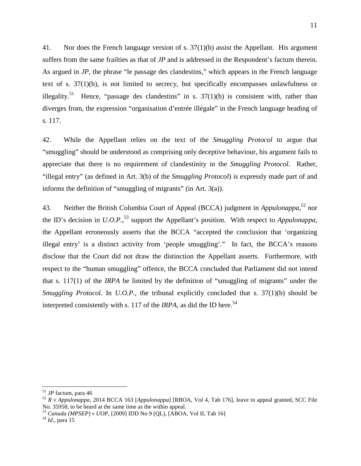41. Nor does the French language version of s. 37(1)(b) assist the Appellant. His argument suffers from the same frailties as that of *JP* and is addressed in the Respondent's factum therein. As argued in *JP*, the phrase "le passage des clandestins," which appears in the French language text of s. 37(1)(b), is not limited to secrecy, but specifically encompasses unlawfulness or illegality.<sup>51</sup> Hence, "passage des clandestins" in s.  $37(1)(b)$  is consistent with, rather than diverges from, the expression "organisation d'entrée illégale" in the French language heading of s. 117.

42. While the Appellant relies on the text of the *Smuggling Protocol* to argue that "smuggling" should be understood as comprising only deceptive behaviour, his argument fails to appreciate that there is no requirement of clandestinity in the *Smuggling Protocol*. Rather, "illegal entry" (as defined in Art. 3(b) of the *Smuggling Protocol*) is expressly made part of and informs the definition of "smuggling of migrants" (in Art.  $3(a)$ ).

43. Neither the British Columbia Court of Appeal (BCCA) judgment in *Appulonappa*, <sup>52</sup> nor the ID's decision in *U.O.P.*, <sup>53</sup> support the Appellant's position. With respect to *Appulonappa,*  the Appellant erroneously asserts that the BCCA "accepted the conclusion that 'organizing illegal entry' is a distinct activity from 'people smuggling'." In fact, the BCCA's reasons disclose that the Court did not draw the distinction the Appellant asserts. Furthermore, with respect to the "human smuggling" offence, the BCCA concluded that Parliament did not intend that s. 117(1) of the *IRPA* be limited by the definition of "smuggling of migrants" under the *Smuggling Protocol*. In *U.O.P*., the tribunal explicitly concluded that s. 37(1)(b) should be interpreted consistently with s. 117 of the *IRPA*, as did the ID here.<sup>54</sup>

<sup>51</sup> *JP* factum, para 46

<sup>52</sup> *R v Appulonappa,* 2014 BCCA 163 [*Appulonappa*] [RBOA, Vol 4, Tab 176], leave to appeal granted, SCC File No. 35958, to be heard at the same time as the within appeal.

<sup>53</sup> *Canada (MPSEP) v UOP,* [2009] IDD No 9 (QL), [ABOA, Vol II, Tab 16]

<sup>54</sup> *Id*., para 15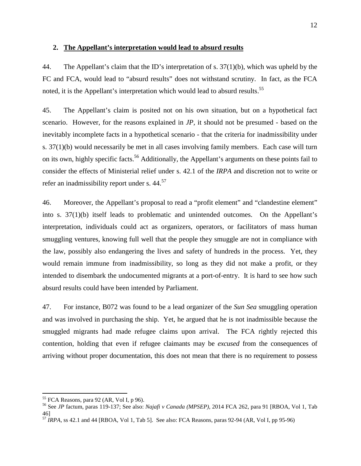## <span id="page-16-0"></span>**2. The Appellant's interpretation would lead to absurd results**

44. The Appellant's claim that the ID's interpretation of s. 37(1)(b), which was upheld by the FC and FCA, would lead to "absurd results" does not withstand scrutiny. In fact, as the FCA noted, it is the Appellant's interpretation which would lead to absurd results.<sup>55</sup>

45. The Appellant's claim is posited not on his own situation, but on a hypothetical fact scenario. However, for the reasons explained in *JP,* it should not be presumed - based on the inevitably incomplete facts in a hypothetical scenario - that the criteria for inadmissibility under s. 37(1)(b) would necessarily be met in all cases involving family members. Each case will turn on its own, highly specific facts.<sup>56</sup> Additionally*,* the Appellant's arguments on these points fail to consider the effects of Ministerial relief under s. 42.1 of the *IRPA* and discretion not to write or refer an inadmissibility report under s.  $44.57$ 

46. Moreover, the Appellant's proposal to read a "profit element" and "clandestine element" into s. 37(1)(b) itself leads to problematic and unintended outcomes. On the Appellant's interpretation, individuals could act as organizers, operators, or facilitators of mass human smuggling ventures, knowing full well that the people they smuggle are not in compliance with the law, possibly also endangering the lives and safety of hundreds in the process. Yet, they would remain immune from inadmissibility, so long as they did not make a profit, or they intended to disembark the undocumented migrants at a port-of-entry. It is hard to see how such absurd results could have been intended by Parliament.

47. For instance, B072 was found to be a lead organizer of the *Sun Sea* smuggling operation and was involved in purchasing the ship. Yet, he argued that he is not inadmissible because the smuggled migrants had made refugee claims upon arrival. The FCA rightly rejected this contention, holding that even if refugee claimants may be *excused* from the consequences of arriving without proper documentation, this does not mean that there is no requirement to possess

 $55$  FCA Reasons, para 92 (AR, Vol I, p 96).

<sup>56</sup> See *JP* factum, paras 119-137; See also: *Najafi v Canada (MPSEP)*, 2014 FCA 262, para 91 [RBOA, Vol 1, Tab 46]

<sup>57</sup> *IRPA,* ss 42.1 and 44 [RBOA, Vol 1, Tab 5]. See also: FCA Reasons, paras 92-94 (AR, Vol I, pp 95-96)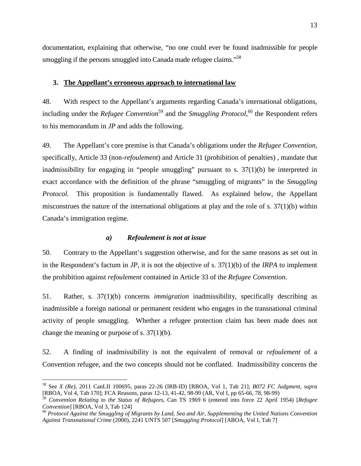<span id="page-17-0"></span>documentation, explaining that otherwise, "no one could ever be found inadmissible for people smuggling if the persons smuggled into Canada made refugee claims."<sup>58</sup>

#### **3. The Appellant's erroneous approach to international law**

48. With respect to the Appellant's arguments regarding Canada's international obligations, including under the *Refugee Convention*<sup>59</sup> and the *Smuggling Protocol*,<sup>60</sup> the Respondent refers to his memorandum in *JP* and adds the following.

49. The Appellant's core premise is that Canada's obligations under the *Refugee Convention,*  specifically, Article 33 (non*-refoulement*) and Article 31 (prohibition of penalties) *,* mandate that inadmissibility for engaging in "people smuggling" pursuant to s.  $37(1)(b)$  be interpreted in exact accordance with the definition of the phrase "smuggling of migrants" in the *Smuggling Protocol.* This proposition is fundamentally flawed. As explained below, the Appellant misconstrues the nature of the international obligations at play and the role of s. 37(1)(b) within Canada's immigration regime.

#### *a) Refoulement is not at issue*

50. Contrary to the Appellant's suggestion otherwise, and for the same reasons as set out in in the Respondent's factum in *JP*, it is not the objective of s. 37(1)(b) of the *IRPA* to implement the prohibition against *refoulement* contained in Article 33 of the *Refugee Convention*.

51. Rather, s. 37(1)(b) concerns *immigration* inadmissibility, specifically describing as inadmissible a foreign national or permanent resident who engages in the transnational criminal activity of people smuggling. Whether a refugee protection claim has been made does not change the meaning or purpose of s. 37(1)(b).

52. A finding of inadmissibility is not the equivalent of removal or *refoulement* of a Convention refugee*,* and the two concepts should not be conflated. Inadmissibility concerns the

<sup>58</sup> See *X (Re)*, 2011 CanLII 100695, paras 22-26 (IRB-ID) [RBOA, Vol 1, Tab 21]; *B072 FC Judgment, supra* [RBOA, Vol 4, Tab 170]; FCA Reasons, paras 12-13, 41-42, 98-99 (AR, Vol I, pp 65-66, 78, 98-99)

<sup>59</sup> *Convention Relating to the Status of Refugees*, Can TS 1969 6 (entered into force 22 April 1954) [*Refugee Convention*] [RBOA, Vol 3, Tab 124]

<sup>60</sup> *Protocol Against the Smuggling of Migrants by Land, Sea and Air, Supplementing the United Nations Convention Against Transnational Crime* (2000), 2241 UNTS 507 [*Smuggling Protocol*] [ABOA, Vol I, Tab 7]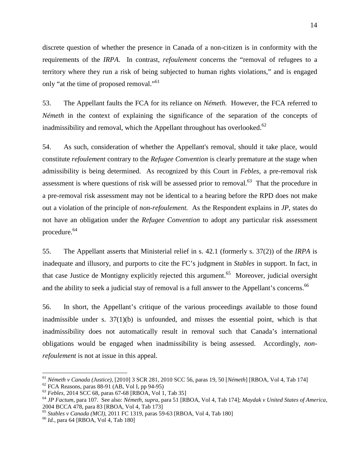discrete question of whether the presence in Canada of a non-citizen is in conformity with the requirements of the *IRPA*. In contrast, *refoulement* concerns the "removal of refugees to a territory where they run a risk of being subjected to human rights violations," and is engaged only "at the time of proposed removal."<sup>61</sup>

53. The Appellant faults the FCA for its reliance on *Németh.* However, the FCA referred to *Németh* in the context of explaining the significance of the separation of the concepts of inadmissibility and removal, which the Appellant throughout has overlooked. $62$ 

54. As such, consideration of whether the Appellant's removal, should it take place, would constitute *refoulement* contrary to the *Refugee Convention* is clearly premature at the stage when admissibility is being determined. As recognized by this Court in *Febles*, a pre-removal risk assessment is where questions of risk will be assessed prior to removal.<sup>63</sup> That the procedure in a pre-removal risk assessment may not be identical to a hearing before the RPD does not make out a violation of the principle of *non-refoulement.* As the Respondent explains in *JP*, states do not have an obligation under the *Refugee Convention* to adopt any particular risk assessment procedure.<sup>64</sup>

55. The Appellant asserts that Ministerial relief in s. 42.1 (formerly s. 37(2)) of the *IRPA* is inadequate and illusory, and purports to cite the FC's judgment in *Stables* in support. In fact, in that case Justice de Montigny explicitly rejected this argument.<sup>65</sup> Moreover, judicial oversight and the ability to seek a judicial stay of removal is a full answer to the Appellant's concerns.<sup>66</sup>

56. In short, the Appellant's critique of the various proceedings available to those found inadmissible under s.  $37(1)(b)$  is unfounded, and misses the essential point, which is that inadmissibility does not automatically result in removal such that Canada's international obligations would be engaged when inadmissibility is being assessed. Accordingly, *nonrefoulement* is not at issue in this appeal.

<sup>61</sup> *Németh v Canada (Justice),* [2010] 3 SCR 281, 2010 SCC 56, paras 19, 50 [*Németh*] [RBOA, Vol 4, Tab 174]

 $62$  FCA Reasons, paras 88-91 (AB, Vol I, pp 94-95)

<sup>63</sup> *Febles,* 2014 SCC 68, paras 67-68 [RBOA, Vol 1, Tab 35]

<sup>64</sup> *JP Factum,* para 107. See also: *Németh, supra*, para 51 [RBOA, Vol 4, Tab 174]; *Maydak v United States of America*, 2004 BCCA 478, para 83 [RBOA, Vol 4, Tab 173]

<sup>65</sup> *Stables v Canada (MCI),* 2011 FC 1319, paras 59-63 [RBOA, Vol 4, Tab 180]

<sup>66</sup> *Id.*, para 64 [RBOA, Vol 4, Tab 180]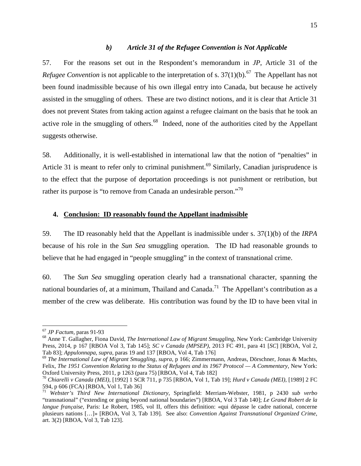#### *b) Article 31 of the Refugee Convention is Not Applicable*

<span id="page-19-0"></span>57. For the reasons set out in the Respondent's memorandum in *JP*, Article 31 of the *Refugee Convention* is not applicable to the interpretation of s.  $37(1)(b)$ .<sup>67</sup> The Appellant has not been found inadmissible because of his own illegal entry into Canada, but because he actively assisted in the smuggling of others. These are two distinct notions, and it is clear that Article 31 does not prevent States from taking action against a refugee claimant on the basis that he took an active role in the smuggling of others. $68$  Indeed, none of the authorities cited by the Appellant suggests otherwise.

58. Additionally, it is well-established in international law that the notion of "penalties" in Article 31 is meant to refer only to criminal punishment.<sup>69</sup> Similarly, Canadian jurisprudence is to the effect that the purpose of deportation proceedings is not punishment or retribution, but rather its purpose is "to remove from Canada an undesirable person."<sup>70</sup>

#### **4. Conclusion: ID reasonably found the Appellant inadmissible**

59. The ID reasonably held that the Appellant is inadmissible under s. 37(1)(b) of the *IRPA*  because of his role in the *Sun Sea* smuggling operation. The ID had reasonable grounds to believe that he had engaged in "people smuggling" in the context of transnational crime.

60. The *Sun Sea* smuggling operation clearly had a transnational character, spanning the national boundaries of, at a minimum, Thailand and Canada.<sup>71</sup> The Appellant's contribution as a member of the crew was deliberate. His contribution was found by the ID to have been vital in

<sup>67</sup> *JP Factum,* paras 91-93

<sup>68</sup> Anne T. Gallagher, Fiona David, *The International Law of Migrant Smuggling*, New York: Cambridge University Press, 2014, p 167 [RBOA Vol 3, Tab 145]; *SC v Canada (MPSEP)*, 2013 FC 491, para 41 [*SC*] [RBOA, Vol 2, Tab 83]; *Appulonnapa*, *supra*, paras 19 and 137 [RBOA, Vol 4, Tab 176]

<sup>69</sup> *The International Law of Migrant Smuggling*, *supra*, p 166; Zimmermann, Andreas, Dörschner, Jonas & Machts, Felix, *The 1951 Convention Relating to the Status of Refugees and its 1967 Protocol — A Commentary*, New York: Oxford University Press, 2011, p 1263 (para 75) [RBOA, Vol 4, Tab 182]

<sup>70</sup> *Chiarelli v Canada (MEI),* [1992] 1 SCR 711, p 735 [RBOA, Vol 1, Tab 19]; *Hurd v Canada (MEI)*, [1989] 2 FC 594, p 606 (FCA) [RBOA, Vol 1, Tab 36]

<sup>71</sup> *Webster's Third New International Dictionary*, Springfield: Merriam-Webster, 1981, p 2430 *sub verbo*  "transnational" ("extending or going beyond national boundaries") [RBOA, Vol 3 Tab 140]; *Le Grand Robert de la langue française*, Paris: Le Robert, 1985, vol II, offers this definition: «qui dépasse le cadre national, concerne plusieurs nations […]» [RBOA, Vol 3, Tab 139]. See also: *Convention Against Transnational Organized Crime*, art. 3(2) [RBOA, Vol 3, Tab 123].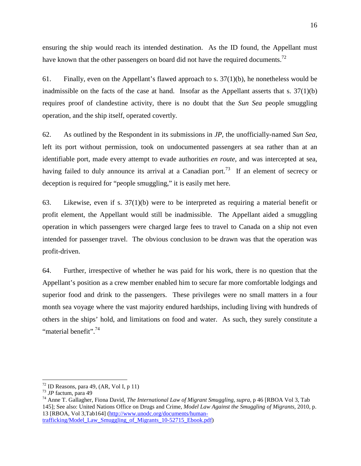ensuring the ship would reach its intended destination. As the ID found, the Appellant must have known that the other passengers on board did not have the required documents.<sup>72</sup>

61. Finally, even on the Appellant's flawed approach to s.  $37(1)(b)$ , he nonetheless would be inadmissible on the facts of the case at hand. Insofar as the Appellant asserts that s.  $37(1)(b)$ requires proof of clandestine activity, there is no doubt that the *Sun Sea* people smuggling operation, and the ship itself, operated covertly*.* 

62. As outlined by the Respondent in its submissions in *JP*, the unofficially-named *Sun Sea*, left its port without permission, took on undocumented passengers at sea rather than at an identifiable port, made every attempt to evade authorities *en route*, and was intercepted at sea, having failed to duly announce its arrival at a Canadian port.<sup>73</sup> If an element of secrecy or deception is required for "people smuggling," it is easily met here.

63. Likewise, even if s. 37(1)(b) were to be interpreted as requiring a material benefit or profit element, the Appellant would still be inadmissible. The Appellant aided a smuggling operation in which passengers were charged large fees to travel to Canada on a ship not even intended for passenger travel. The obvious conclusion to be drawn was that the operation was profit-driven.

64. Further, irrespective of whether he was paid for his work, there is no question that the Appellant's position as a crew member enabled him to secure far more comfortable lodgings and superior food and drink to the passengers. These privileges were no small matters in a four month sea voyage where the vast majority endured hardships, including living with hundreds of others in the ships' hold, and limitations on food and water. As such, they surely constitute a "material benefit".<sup>74</sup>

 $72$  ID Reasons, para 49, (AR, Vol I, p 11)

<sup>73</sup> *JP* factum, para 49

<sup>74</sup> Anne T. Gallagher, Fiona David, *The International Law of Migrant Smuggling*, *supra*, p 46 [RBOA Vol 3, Tab 145]; See also: United Nations Office on Drugs and Crime, *Model Law Against the Smuggling of Migrants*, 2010, p. 13 [RBOA, Vol 3,Tab164] (http://www.unodc.org/documents/humantrafficking/Model\_Law\_Smuggling\_of\_Migrants\_10-52715\_Ebook.pdf)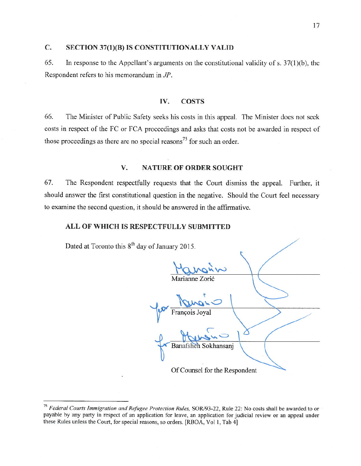#### $C_{\bullet}$ SECTION 37(1)(B) IS CONSTITUTIONALLY VALID

65. In response to the Appellant's arguments on the constitutional validity of s.  $37(1)(b)$ , the Respondent refers to his memorandum in JP.

#### IV. **COSTS**

66. The Minister of Public Safety seeks his costs in this appeal. The Minister does not seek costs in respect of the FC or FCA proceedings and asks that costs not be awarded in respect of those proceedings as there are no special reasons<sup>75</sup> for such an order.

#### V. **NATURE OF ORDER SOUGHT**

67. The Respondent respectfully requests that the Court dismiss the appeal. Further, it should answer the first constitutional question in the negative. Should the Court feel necessary to examine the second question, it should be answered in the affirmative.

## ALL OF WHICH IS RESPECTFULLY SUBMITTED

Dated at Toronto this 8<sup>th</sup> day of January 2015.

ianne Zorić François Banafshel ansani Of Counsel for the Respondent

<sup>&</sup>lt;sup>75</sup> Federal Courts Immigration and Refugee Protection Rules, SOR/93-22, Rule 22: No costs shall be awarded to or payable by any party in respect of an application for leave, an application for judicial review or an appeal under these Rules unless the Court, for special reasons, so orders. [RBOA, Vol 1, Tab 4]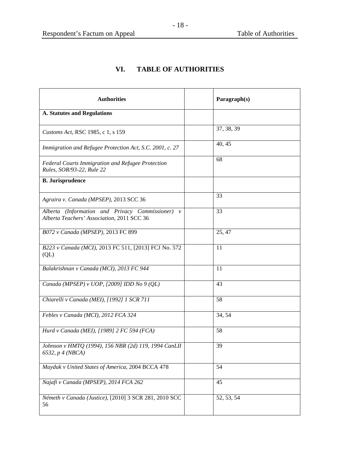# **VI. TABLE OF AUTHORITIES**

<span id="page-22-0"></span>

| <b>Authorities</b>                                                                             | Paragraph(s) |
|------------------------------------------------------------------------------------------------|--------------|
| <b>A. Statutes and Regulations</b>                                                             |              |
| Customs Act, RSC 1985, c 1, s 159                                                              | 37, 38, 39   |
| Immigration and Refugee Protection Act, S.C. 2001, c. 27                                       | 40, 45       |
| Federal Courts Immigration and Refugee Protection<br>Rules, SOR/93-22, Rule 22                 | 68           |
| <b>B.</b> Jurisprudence                                                                        |              |
| Agraira v. Canada (MPSEP), 2013 SCC 36                                                         | 33           |
| Alberta (Information and Privacy Commissioner) v<br>Alberta Teachers' Association, 2011 SCC 36 | 33           |
| B072 v Canada (MPSEP), 2013 FC 899                                                             | 25, 47       |
| B223 v Canada (MCI), 2013 FC 511, [2013] FCJ No. 572<br>$\overline{Q}$                         | 11           |
| Balakrishnan v Canada (MCI), 2013 FC 944                                                       | 11           |
| Canada (MPSEP) v UOP, [2009] IDD No 9 (QL)                                                     | 43           |
| Chiarelli v Canada (MEI), [1992] 1 SCR 711                                                     | 58           |
| Febles v Canada (MCI), 2012 FCA 324                                                            | 34, 54       |
| Hurd v Canada (MEI), [1989] 2 FC 594 (FCA)                                                     | 58           |
| Johnson v HMTQ (1994), 156 NBR (2d) 119, 1994 CanLII<br>6532, p 4 (NBCA)                       | 39           |
| Maydak v United States of America, 2004 BCCA 478                                               | 54           |
| Najafi v Canada (MPSEP), 2014 FCA 262                                                          | 45           |
| Németh v Canada (Justice), [2010] 3 SCR 281, 2010 SCC<br>56                                    | 52, 53, 54   |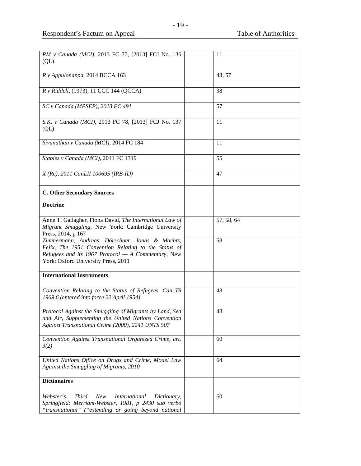| PM v Canada (MCI), 2013 FC 77, [2013] FCJ No. 136                | 11         |
|------------------------------------------------------------------|------------|
| $\overline{Q}$                                                   |            |
|                                                                  |            |
| R v Appulonappa, 2014 BCCA 163                                   | 43, 57     |
|                                                                  |            |
| R v Riddell, (1973), 11 CCC 144 (QCCA)                           | 38         |
|                                                                  |            |
| SC v Canada (MPSEP), 2013 FC 491                                 | 57         |
|                                                                  |            |
| S.K. v Canada (MCI), 2013 FC 78, [2013] FCJ No. 137              | 11         |
| $\overline{Q}$                                                   |            |
|                                                                  |            |
| Sivanathan v Canada (MCI), 2014 FC 184                           | 11         |
|                                                                  |            |
| Stables v Canada (MCI), 2011 FC 1319                             | 55         |
|                                                                  |            |
| $X$ (Re), 2011 CanLII 100695 (IRB-ID)                            | 47         |
|                                                                  |            |
|                                                                  |            |
| <b>C. Other Secondary Sources</b>                                |            |
| <b>Doctrine</b>                                                  |            |
|                                                                  |            |
| Anne T. Gallagher, Fiona David, The International Law of         | 57, 58, 64 |
| Migrant Smuggling, New York: Cambridge University                |            |
| Press, 2014, p 167                                               |            |
| Zimmermann, Andreas, Dörschner, Jonas & Machts,                  | 58         |
| Felix, The 1951 Convention Relating to the Status of             |            |
| Refugees and its 1967 Protocol $-$ A Commentary, New             |            |
| York: Oxford University Press, 2011                              |            |
|                                                                  |            |
| <b>International Instruments</b>                                 |            |
|                                                                  |            |
| Convention Relating to the Status of Refugees, Can TS            | 48         |
| 1969 6 (entered into force 22 April 1954)                        |            |
|                                                                  |            |
| Protocol Against the Smuggling of Migrants by Land, Sea          | 48         |
| and Air, Supplementing the United Nations Convention             |            |
| Against Transnational Crime (2000), 2241 UNTS 507                |            |
| Convention Against Transnational Organized Crime, art.           | 60         |
| 3(2)                                                             |            |
|                                                                  |            |
| United Nations Office on Drugs and Crime, Model Law              | 64         |
| Against the Smuggling of Migrants, 2010                          |            |
|                                                                  |            |
| <b>Dictionaires</b>                                              |            |
|                                                                  |            |
| Webster's<br>Third<br>New<br><i>International</i><br>Dictionary, | 60         |
| Springfield: Merriam-Webster, 1981, p 2430 sub verbo             |            |
| "transnational" ("extending or going beyond national             |            |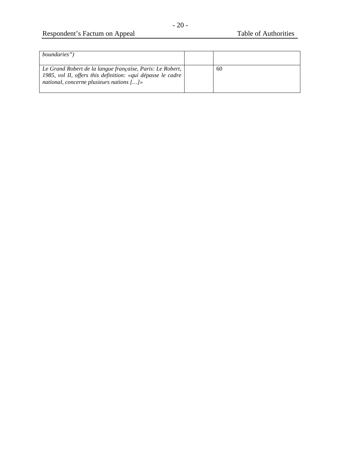# Respondent's Factum on Appeal Table of Authorities

| <i>boundaries</i> ")                                                                                                                                                         |    |
|------------------------------------------------------------------------------------------------------------------------------------------------------------------------------|----|
| Le Grand Robert de la langue française, Paris: Le Robert,<br>1985, vol II, offers this definition: «qui dépasse le cadre<br>national, concerne plusieurs nations $[\dots]$ » | 60 |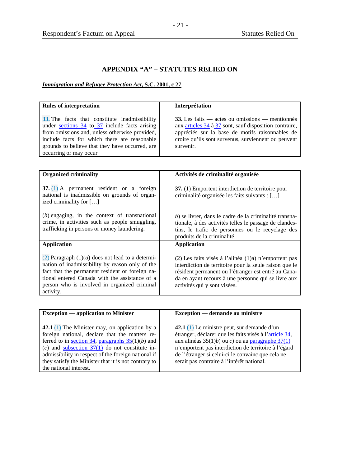# **APPENDIX "A" – STATUTES RELIED ON**

# <span id="page-25-0"></span>*Immigration and Refugee Protection Act***, S.C. 2001, c 27**

| <b>Rules of interpretation</b>                                                                                                                                                                                                                                                    | Interprétation                                                                                                                                                                                                                                                    |
|-----------------------------------------------------------------------------------------------------------------------------------------------------------------------------------------------------------------------------------------------------------------------------------|-------------------------------------------------------------------------------------------------------------------------------------------------------------------------------------------------------------------------------------------------------------------|
| 33. The facts that constitute inadmissibility<br>under sections $34$ to $37$ include facts arising<br>from omissions and, unless otherwise provided,<br>include facts for which there are reasonable<br>grounds to believe that they have occurred, are<br>occurring or may occur | 33. Les faits — actes ou omissions — mentionnés<br>aux articles 34 à 37 sont, sauf disposition contraire,<br>appréciés sur la base de motifs raisonnables de<br>croire qu'ils sont survenus, surviennent ou peuvent<br>survenir.                                  |
|                                                                                                                                                                                                                                                                                   |                                                                                                                                                                                                                                                                   |
| <b>Organized criminality</b>                                                                                                                                                                                                                                                      | Activités de criminalité organisée                                                                                                                                                                                                                                |
| 37. $(1)$ A permanent resident or a foreign<br>national is inadmissible on grounds of organ-<br>ized criminality for []                                                                                                                                                           | 37. (1) Emportent interdiction de territoire pour<br>criminalité organisée les faits suivants : []                                                                                                                                                                |
| $(b)$ engaging, in the context of transnational<br>crime, in activities such as people smuggling,<br>trafficking in persons or money laundering.                                                                                                                                  | b) se livrer, dans le cadre de la criminalité transna-<br>tionale, à des activités telles le passage de clandes-<br>tins, le trafic de personnes ou le recyclage des<br>produits de la criminalité.                                                               |
| <b>Application</b>                                                                                                                                                                                                                                                                | <b>Application</b>                                                                                                                                                                                                                                                |
| (2) Paragraph $(1)(a)$ does not lead to a determi-<br>nation of inadmissibility by reason only of the<br>fact that the permanent resident or foreign na-<br>tional entered Canada with the assistance of a<br>person who is involved in organized criminal<br>activity.           | $(2)$ Les faits visés à l'alinéa $(1)$ a) n'emportent pas<br>interdiction de territoire pour la seule raison que le<br>résident permanent ou l'étranger est entré au Cana-<br>da en ayant recours à une personne qui se livre aux<br>activités qui y sont visées. |

| <b>Exception — application to Minister</b>                         | Exception — demande au ministre                        |
|--------------------------------------------------------------------|--------------------------------------------------------|
|                                                                    |                                                        |
| <b>42.1</b> (1) The Minister may, on application by a              | 42.1 $(1)$ Le ministre peut, sur demande d'un          |
| foreign national, declare that the matters re-                     | étranger, déclarer que les faits visés à l'article 34, |
| ferred to in <u>section 34</u> , paragraphs $35(1)(b)$ and         | aux alinéas $35(1)b$ ou c) ou au paragraphe $37(1)$    |
| (c) and <u>subsection <math>37(1)</math></u> do not constitute in- | n'emportent pas interdiction de territoire à l'égard   |
| admissibility in respect of the foreign national if                | de l'étranger si celui-ci le convainc que cela ne      |
| they satisfy the Minister that it is not contrary to               | serait pas contraire à l'intérêt national.             |
| the national interest.                                             |                                                        |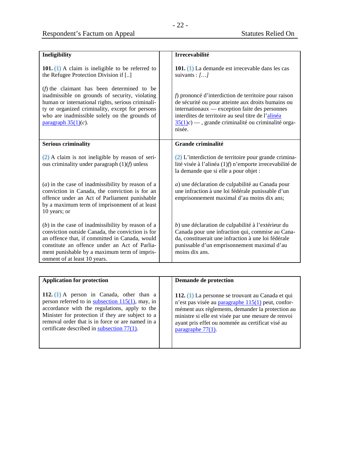| Ineligibility                                                                                                                                                                                                                                                                              | Irrecevabilité                                                                                                                                                                                                                                                                      |
|--------------------------------------------------------------------------------------------------------------------------------------------------------------------------------------------------------------------------------------------------------------------------------------------|-------------------------------------------------------------------------------------------------------------------------------------------------------------------------------------------------------------------------------------------------------------------------------------|
| 101. $(1)$ A claim is ineligible to be referred to<br>the Refugee Protection Division if []                                                                                                                                                                                                | 101. (1) La demande est irrecevable dans les cas<br>suivants : $[]$                                                                                                                                                                                                                 |
| $(f)$ the claimant has been determined to be<br>inadmissible on grounds of security, violating<br>human or international rights, serious criminali-<br>ty or organized criminality, except for persons<br>who are inadmissible solely on the grounds of<br>paragraph $35(1)(c)$ .          | f) prononcé d'interdiction de territoire pour raison<br>de sécurité ou pour atteinte aux droits humains ou<br>internationaux — exception faite des personnes<br>interdites de territoire au seul titre de l'alinéa<br>$35(1)c$ –, grande criminalité ou criminalité orga-<br>nisée. |
| <b>Serious criminality</b>                                                                                                                                                                                                                                                                 | Grande criminalité                                                                                                                                                                                                                                                                  |
| $(2)$ A claim is not ineligible by reason of seri-<br>ous criminality under paragraph $(1)(f)$ unless                                                                                                                                                                                      | $(2)$ L'interdiction de territoire pour grande crimina-<br>lité visée à l'alinéa (1)f) n'emporte irrecevabilité de<br>la demande que si elle a pour objet :                                                                                                                         |
| $(a)$ in the case of inadmissibility by reason of a<br>conviction in Canada, the conviction is for an<br>offence under an Act of Parliament punishable<br>by a maximum term of imprisonment of at least<br>10 years; or                                                                    | a) une déclaration de culpabilité au Canada pour<br>une infraction à une loi fédérale punissable d'un<br>emprisonnement maximal d'au moins dix ans;                                                                                                                                 |
| $(b)$ in the case of inadmissibility by reason of a<br>conviction outside Canada, the conviction is for<br>an offence that, if committed in Canada, would<br>constitute an offence under an Act of Parlia-<br>ment punishable by a maximum term of impris-<br>onment of at least 10 years. | b) une déclaration de culpabilité à l'extérieur du<br>Canada pour une infraction qui, commise au Cana-<br>da, constituerait une infraction à une loi fédérale<br>punissable d'un emprisonnement maximal d'au<br>moins dix ans.                                                      |

| <b>Application for protection</b>                                                                                                                                                                                                                                                                            | Demande de protection                                                                                                                                                                                                                                                                          |
|--------------------------------------------------------------------------------------------------------------------------------------------------------------------------------------------------------------------------------------------------------------------------------------------------------------|------------------------------------------------------------------------------------------------------------------------------------------------------------------------------------------------------------------------------------------------------------------------------------------------|
| 112. $(1)$ A person in Canada, other than a<br>person referred to in subsection $115(1)$ , may, in<br>accordance with the regulations, apply to the<br>Minister for protection if they are subject to a<br>removal order that is in force or are named in a<br>certificate described in subsection $77(1)$ . | 112. (1) La personne se trouvant au Canada et qui<br>n'est pas visée au paragraphe 115(1) peut, confor-<br>mément aux règlements, demander la protection au<br>ministre si elle est visée par une mesure de renvoi<br>ayant pris effet ou nommée au certificat visé au<br>paragraphe $77(1)$ . |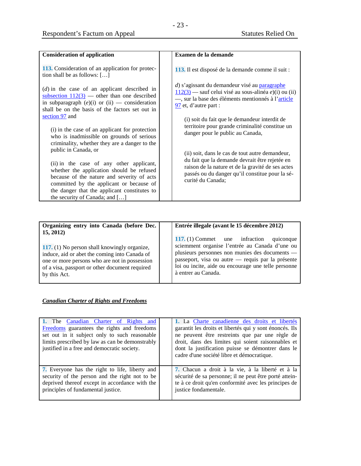| <b>Consideration of application</b>                                                                                                                                                                                                                                                       | Examen de la demande                                                                                                                                                                                                           |
|-------------------------------------------------------------------------------------------------------------------------------------------------------------------------------------------------------------------------------------------------------------------------------------------|--------------------------------------------------------------------------------------------------------------------------------------------------------------------------------------------------------------------------------|
| <b>113.</b> Consideration of an application for protec-<br>tion shall be as follows: $[]$                                                                                                                                                                                                 | 113. Il est disposé de la demande comme il suit :                                                                                                                                                                              |
| $(d)$ in the case of an applicant described in<br>subsection $112(3)$ — other than one described<br>in subparagraph $(e)(i)$ or $(ii)$ — consideration<br>shall be on the basis of the factors set out in                                                                                 | d) s'agissant du demandeur visé au paragraphe<br>$\frac{112(3)}{2}$ – sauf celui visé au sous-alinéa e)(i) ou (ii)<br>-, sur la base des éléments mentionnés à l'article<br>$\frac{97}{2}$ et, d'autre part :                  |
| section 97 and<br>(i) in the case of an applicant for protection<br>who is inadmissible on grounds of serious<br>criminality, whether they are a danger to the                                                                                                                            | (i) soit du fait que le demandeur interdit de<br>territoire pour grande criminalité constitue un<br>danger pour le public au Canada,                                                                                           |
| public in Canada, or<br>(ii) in the case of any other applicant,<br>whether the application should be refused<br>because of the nature and severity of acts<br>committed by the applicant or because of<br>the danger that the applicant constitutes to<br>the security of Canada; and [] | (ii) soit, dans le cas de tout autre demandeur,<br>du fait que la demande devrait être rejetée en<br>raison de la nature et de la gravité de ses actes<br>passés ou du danger qu'il constitue pour la sé-<br>curité du Canada; |

| Organizing entry into Canada (before Dec. |  |  |  |
|-------------------------------------------|--|--|--|
| 15, 2012)                                 |  |  |  |

# **Entrée illegale (avant le 15 décembre 2012)**

**117.** (1) No person shall knowingly organize, induce, aid or abet the coming into Canada of one or more persons who are not in possession of a visa, passport or other document required by this Act.

**117.** (1) Commet une infraction quiconque sciemment organise l'entrée au Canada d'une ou plusieurs personnes non munies des documents passeport, visa ou autre — requis par la présente loi ou incite, aide ou encourage une telle personne à entrer au Canada.

# *Canadian Charter of Rights and Freedoms*

| 1. The Canadian Charter of Rights and<br>Freedoms guarantees the rights and freedoms<br>set out in it subject only to such reasonable<br>limits prescribed by law as can be demonstrably<br>justified in a free and democratic society. | 1. La Charte canadienne des droits et libertés<br>garantit les droits et libertés qui y sont énoncés. Ils<br>ne peuvent être restreints que par une règle de<br>droit, dans des limites qui soient raisonnables et<br>dont la justification puisse se démontrer dans le<br>cadre d'une société libre et démocratique. |
|-----------------------------------------------------------------------------------------------------------------------------------------------------------------------------------------------------------------------------------------|-----------------------------------------------------------------------------------------------------------------------------------------------------------------------------------------------------------------------------------------------------------------------------------------------------------------------|
| <b>7.</b> Everyone has the right to life, liberty and<br>security of the person and the right not to be<br>deprived thereof except in accordance with the<br>principles of fundamental justice.                                         | 7. Chacun a droit à la vie, à la liberté et à la<br>sécurité de sa personne; il ne peut être porté attein-<br>te à ce droit qu'en conformité avec les principes de<br>justice fondamentale.                                                                                                                           |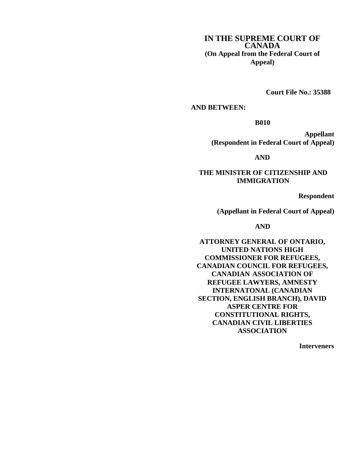# **IN THE SUPREME COURT OF CANADA (On Appeal from the Federal Court of Appeal)**

**Court File No.: 35388**

## **AND BETWEEN:**

**B010**

**Appellant (Respondent in Federal Court of Appeal)**

**AND**

**THE MINISTER OF CITIZENSHIP AND IMMIGRATION**

**Respondent**

**(Appellant in Federal Court of Appeal)**

**AND**

**ATTORNEY GENERAL OF ONTARIO, UNITED NATIONS HIGH COMMISSIONER FOR REFUGEES, CANADIAN COUNCIL FOR REFUGEES, CANADIAN ASSOCIATION OF REFUGEE LAWYERS, AMNESTY INTERNATONAL (CANADIAN SECTION, ENGLISH BRANCH), DAVID ASPER CENTRE FOR CONSTITUTIONAL RIGHTS, CANADIAN CIVIL LIBERTIES ASSOCIATION**

**Interveners**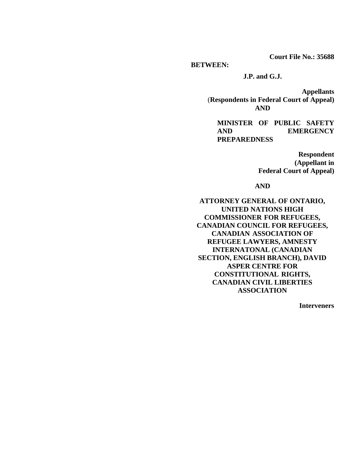**Court File No.: 35688**

**BETWEEN:**

**J.P. and G.J.**

**Appellants** (**Respondents in Federal Court of Appeal) AND**

**MINISTER OF PUBLIC SAFETY AND EMERGENCY PREPAREDNESS**

> **Respondent (Appellant in Federal Court of Appeal)**

**AND**

**ATTORNEY GENERAL OF ONTARIO, UNITED NATIONS HIGH COMMISSIONER FOR REFUGEES, CANADIAN COUNCIL FOR REFUGEES, CANADIAN ASSOCIATION OF REFUGEE LAWYERS, AMNESTY INTERNATONAL (CANADIAN SECTION, ENGLISH BRANCH), DAVID ASPER CENTRE FOR CONSTITUTIONAL RIGHTS, CANADIAN CIVIL LIBERTIES ASSOCIATION**

**Interveners**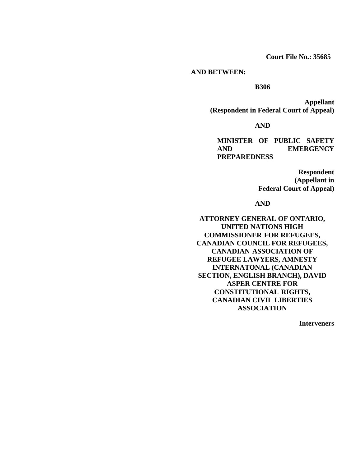**Court File No.: 35685**

#### **AND BETWEEN:**

## **B306**

**Appellant (Respondent in Federal Court of Appeal)** 

**AND**

**MINISTER OF PUBLIC SAFETY AND EMERGENCY PREPAREDNESS**

> **Respondent (Appellant in Federal Court of Appeal)**

#### **AND**

**ATTORNEY GENERAL OF ONTARIO, UNITED NATIONS HIGH COMMISSIONER FOR REFUGEES, CANADIAN COUNCIL FOR REFUGEES, CANADIAN ASSOCIATION OF REFUGEE LAWYERS, AMNESTY INTERNATONAL (CANADIAN SECTION, ENGLISH BRANCH), DAVID ASPER CENTRE FOR CONSTITUTIONAL RIGHTS, CANADIAN CIVIL LIBERTIES ASSOCIATION**

**Interveners**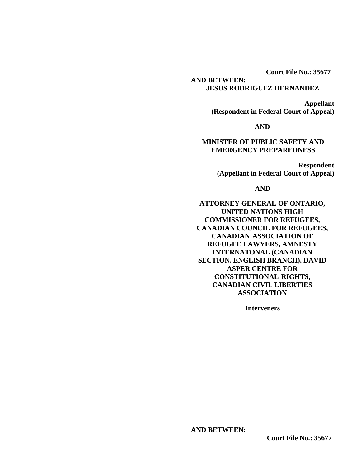**Court File No.: 35677**

## **AND BETWEEN: JESUS RODRIGUEZ HERNANDEZ**

**Appellant (Respondent in Federal Court of Appeal)**

# **AND**

# **MINISTER OF PUBLIC SAFETY AND EMERGENCY PREPAREDNESS**

**Respondent (Appellant in Federal Court of Appeal)**

#### **AND**

**ATTORNEY GENERAL OF ONTARIO, UNITED NATIONS HIGH COMMISSIONER FOR REFUGEES, CANADIAN COUNCIL FOR REFUGEES, CANADIAN ASSOCIATION OF REFUGEE LAWYERS, AMNESTY INTERNATONAL (CANADIAN SECTION, ENGLISH BRANCH), DAVID ASPER CENTRE FOR CONSTITUTIONAL RIGHTS, CANADIAN CIVIL LIBERTIES ASSOCIATION**

**Interveners**

### **AND BETWEEN:**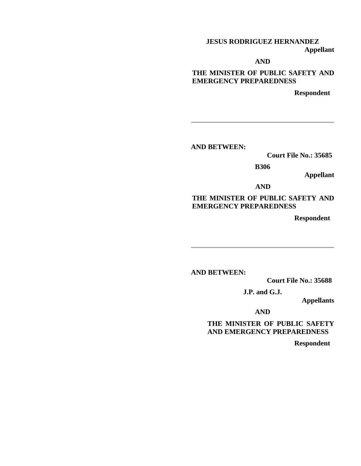# **JESUS RODRIGUEZ HERNANDEZ Appellant**

**AND**

**THE MINISTER OF PUBLIC SAFETY AND EMERGENCY PREPAREDNESS**

**Respondent**

**AND BETWEEN:**

 **Court File No.: 35685**

**B306**

**Appellant**

**AND**

# **THE MINISTER OF PUBLIC SAFETY AND EMERGENCY PREPAREDNESS**

**Respondent**

**AND BETWEEN:** 

 **Court File No.: 35688**

**J.P. and G.J.**

**Appellants**

**AND**

**THE MINISTER OF PUBLIC SAFETY AND EMERGENCY PREPAREDNESS**

 **Respondent**